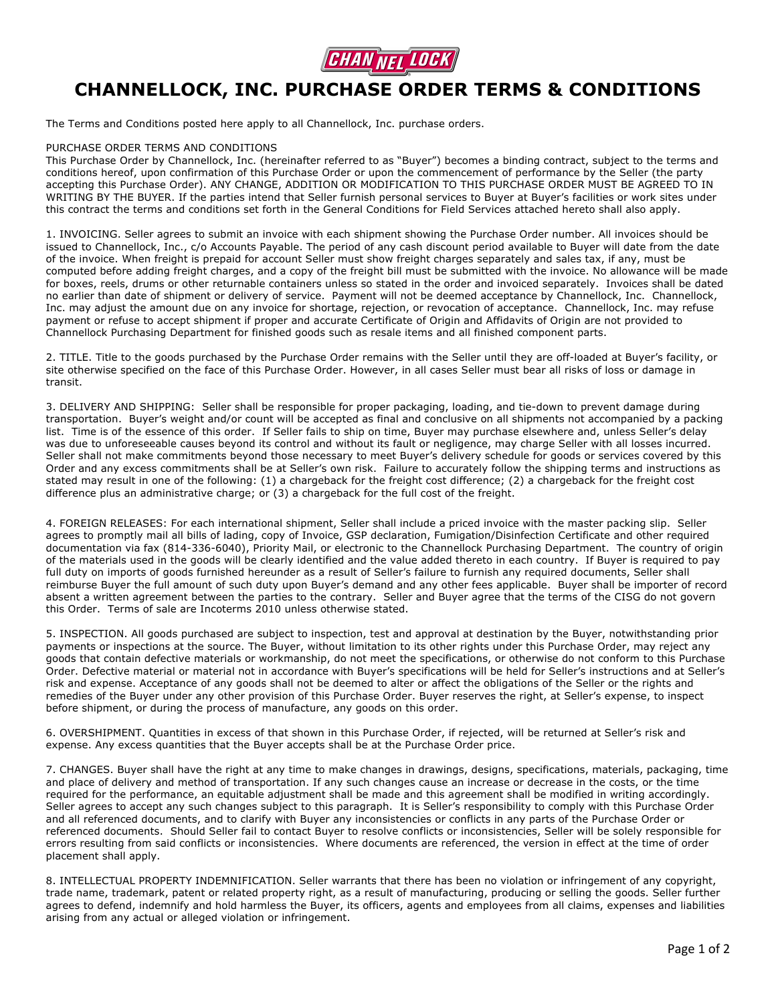

## **CHANNELLOCK, INC. PURCHASE ORDER TERMS & CONDITIONS**

The Terms and Conditions posted here apply to all Channellock, Inc. purchase orders.

## PURCHASE ORDER TERMS AND CONDITIONS

This Purchase Order by Channellock, Inc. (hereinafter referred to as "Buyer") becomes a binding contract, subject to the terms and conditions hereof, upon confirmation of this Purchase Order or upon the commencement of performance by the Seller (the party accepting this Purchase Order). ANY CHANGE, ADDITION OR MODIFICATION TO THIS PURCHASE ORDER MUST BE AGREED TO IN WRITING BY THE BUYER. If the parties intend that Seller furnish personal services to Buyer at Buyer's facilities or work sites under this contract the terms and conditions set forth in the General Conditions for Field Services attached hereto shall also apply.

1. INVOICING. Seller agrees to submit an invoice with each shipment showing the Purchase Order number. All invoices should be issued to Channellock, Inc., c/o Accounts Payable. The period of any cash discount period available to Buyer will date from the date of the invoice. When freight is prepaid for account Seller must show freight charges separately and sales tax, if any, must be computed before adding freight charges, and a copy of the freight bill must be submitted with the invoice. No allowance will be made for boxes, reels, drums or other returnable containers unless so stated in the order and invoiced separately. Invoices shall be dated no earlier than date of shipment or delivery of service. Payment will not be deemed acceptance by Channellock, Inc. Channellock, Inc. may adjust the amount due on any invoice for shortage, rejection, or revocation of acceptance. Channellock, Inc. may refuse payment or refuse to accept shipment if proper and accurate Certificate of Origin and Affidavits of Origin are not provided to Channellock Purchasing Department for finished goods such as resale items and all finished component parts.

2. TITLE. Title to the goods purchased by the Purchase Order remains with the Seller until they are off-loaded at Buyer's facility, or site otherwise specified on the face of this Purchase Order. However, in all cases Seller must bear all risks of loss or damage in transit.

3. DELIVERY AND SHIPPING: Seller shall be responsible for proper packaging, loading, and tie-down to prevent damage during transportation. Buyer's weight and/or count will be accepted as final and conclusive on all shipments not accompanied by a packing list. Time is of the essence of this order. If Seller fails to ship on time, Buyer may purchase elsewhere and, unless Seller's delay was due to unforeseeable causes beyond its control and without its fault or negligence, may charge Seller with all losses incurred. Seller shall not make commitments beyond those necessary to meet Buyer's delivery schedule for goods or services covered by this Order and any excess commitments shall be at Seller's own risk. Failure to accurately follow the shipping terms and instructions as stated may result in one of the following: (1) a chargeback for the freight cost difference; (2) a chargeback for the freight cost difference plus an administrative charge; or (3) a chargeback for the full cost of the freight.

4. FOREIGN RELEASES: For each international shipment, Seller shall include a priced invoice with the master packing slip. Seller agrees to promptly mail all bills of lading, copy of Invoice, GSP declaration, Fumigation/Disinfection Certificate and other required documentation via fax (814-336-6040), Priority Mail, or electronic to the Channellock Purchasing Department. The country of origin of the materials used in the goods will be clearly identified and the value added thereto in each country. If Buyer is required to pay full duty on imports of goods furnished hereunder as a result of Seller's failure to furnish any required documents, Seller shall reimburse Buyer the full amount of such duty upon Buyer's demand and any other fees applicable. Buyer shall be importer of record absent a written agreement between the parties to the contrary. Seller and Buyer agree that the terms of the CISG do not govern this Order. Terms of sale are Incoterms 2010 unless otherwise stated.

5. INSPECTION. All goods purchased are subject to inspection, test and approval at destination by the Buyer, notwithstanding prior payments or inspections at the source. The Buyer, without limitation to its other rights under this Purchase Order, may reject any goods that contain defective materials or workmanship, do not meet the specifications, or otherwise do not conform to this Purchase Order. Defective material or material not in accordance with Buyer's specifications will be held for Seller's instructions and at Seller's risk and expense. Acceptance of any goods shall not be deemed to alter or affect the obligations of the Seller or the rights and remedies of the Buyer under any other provision of this Purchase Order. Buyer reserves the right, at Seller's expense, to inspect before shipment, or during the process of manufacture, any goods on this order.

6. OVERSHIPMENT. Quantities in excess of that shown in this Purchase Order, if rejected, will be returned at Seller's risk and expense. Any excess quantities that the Buyer accepts shall be at the Purchase Order price.

7. CHANGES. Buyer shall have the right at any time to make changes in drawings, designs, specifications, materials, packaging, time and place of delivery and method of transportation. If any such changes cause an increase or decrease in the costs, or the time required for the performance, an equitable adjustment shall be made and this agreement shall be modified in writing accordingly. Seller agrees to accept any such changes subject to this paragraph. It is Seller's responsibility to comply with this Purchase Order and all referenced documents, and to clarify with Buyer any inconsistencies or conflicts in any parts of the Purchase Order or referenced documents. Should Seller fail to contact Buyer to resolve conflicts or inconsistencies, Seller will be solely responsible for errors resulting from said conflicts or inconsistencies. Where documents are referenced, the version in effect at the time of order placement shall apply.

8. INTELLECTUAL PROPERTY INDEMNIFICATION. Seller warrants that there has been no violation or infringement of any copyright, trade name, trademark, patent or related property right, as a result of manufacturing, producing or selling the goods. Seller further agrees to defend, indemnify and hold harmless the Buyer, its officers, agents and employees from all claims, expenses and liabilities arising from any actual or alleged violation or infringement.